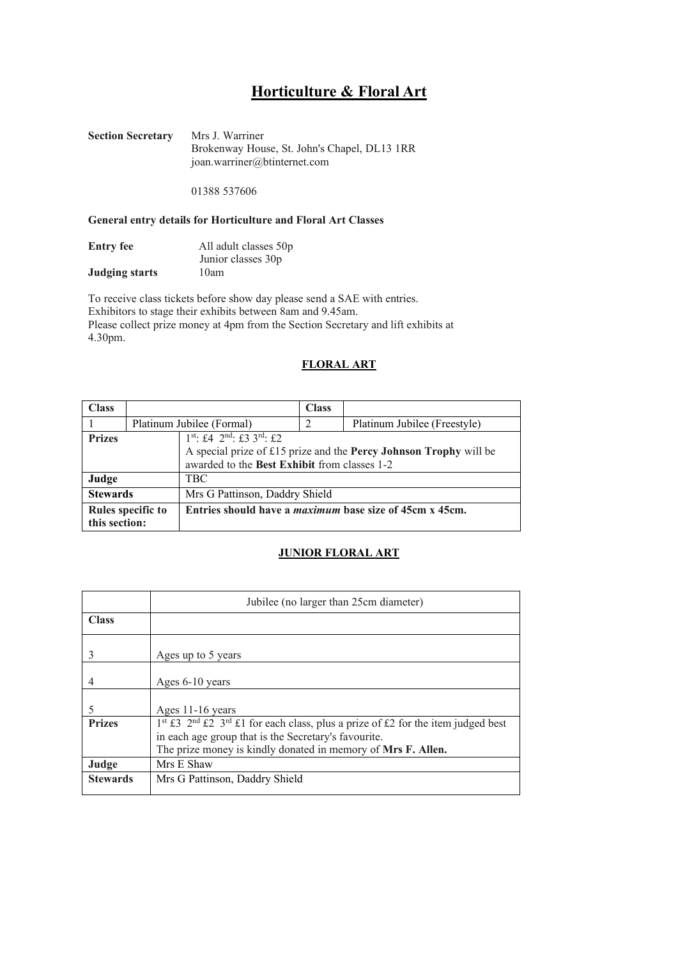# **Horticulture & Floral Art**

**Section Secretary** Mrs J. Warriner Brokenway House, St. John's Chapel, DL13 1RR [joan.warriner@btinternet.com](mailto:joan.warriner@btinternet.com) 

01388 537606

### **General entry details for Horticulture and Floral Art Classes**

| <b>Entry fee</b>      | All adult classes 50p |
|-----------------------|-----------------------|
|                       | Junior classes 30p    |
| <b>Judging starts</b> | 10am                  |

To receive class tickets before show day please send a SAE with entries. Exhibitors to stage their exhibits between 8am and 9.45am. Please collect prize money at 4pm from the Section Secretary and lift exhibits at 4.30pm.

#### **FLORAL ART**

| <b>Class</b>                       |                                                                                           |                                | <b>Class</b>                                                   |                                                                   |
|------------------------------------|-------------------------------------------------------------------------------------------|--------------------------------|----------------------------------------------------------------|-------------------------------------------------------------------|
|                                    | Platinum Jubilee (Formal)                                                                 |                                | 2                                                              | Platinum Jubilee (Freestyle)                                      |
| <b>Prizes</b>                      | $1^{st}$ : £4 $2^{nd}$ : £3 $3^{rd}$ : £2<br>awarded to the Best Exhibit from classes 1-2 |                                |                                                                | A special prize of £15 prize and the Percy Johnson Trophy will be |
| Judge<br>TBC                       |                                                                                           |                                |                                                                |                                                                   |
| <b>Stewards</b>                    |                                                                                           | Mrs G Pattinson, Daddry Shield |                                                                |                                                                   |
| Rules specific to<br>this section: |                                                                                           |                                | Entries should have a <i>maximum</i> base size of 45cm x 45cm. |                                                                   |

#### **JUNIOR FLORAL ART**

|                 | Jubilee (no larger than 25cm diameter)                                                                                                                                                                                  |  |  |
|-----------------|-------------------------------------------------------------------------------------------------------------------------------------------------------------------------------------------------------------------------|--|--|
| <b>Class</b>    |                                                                                                                                                                                                                         |  |  |
|                 | Ages up to 5 years                                                                                                                                                                                                      |  |  |
|                 | Ages 6-10 years                                                                                                                                                                                                         |  |  |
|                 | Ages 11-16 years                                                                                                                                                                                                        |  |  |
| <b>Prizes</b>   | $1^{st}$ £3 $2^{nd}$ £2 $3^{rd}$ £1 for each class, plus a prize of £2 for the item judged best<br>in each age group that is the Secretary's favourite.<br>The prize money is kindly donated in memory of Mrs F. Allen. |  |  |
| Judge           | Mrs E Shaw                                                                                                                                                                                                              |  |  |
| <b>Stewards</b> | Mrs G Pattinson, Daddry Shield                                                                                                                                                                                          |  |  |